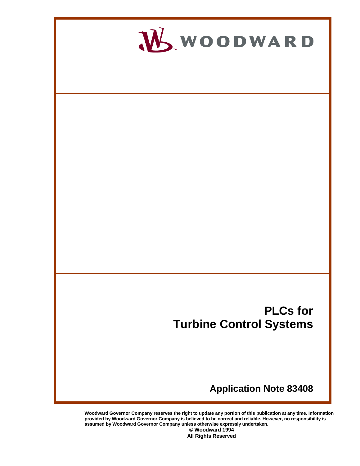

**Woodward Governor Company reserves the right to update any portion of this publication at any time. Information provided by Woodward Governor Company is believed to be correct and reliable. However, no responsibility is assumed by Woodward Governor Company unless otherwise expressly undertaken. © Woodward 1994** 

**All Rights Reserved**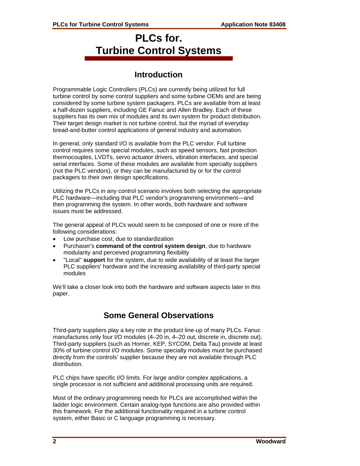# **PLCs for. Turbine Control Systems**

# **Introduction**

Programmable Logic Controllers (PLCs) are currently being utilized for full turbine control by some control suppliers and some turbine OEMs and are being considered by some turbine system packagers. PLCs are available from at least a half-dozen suppliers, including GE Fanuc and Allen Bradley. Each of these suppliers has its own mix of modules and its own system for product distribution. Their target design market is not turbine control, but the myriad of everyday bread-and-butter control applications of general industry and automation.

In general, only standard I/O is available from the PLC vendor. Full turbine control requires some special modules, such as speed sensors, fast protection thermocouples, LVDTs, servo actuator drivers, vibration interfaces, and special serial interfaces. Some of these modules are available from specialty suppliers (not the PLC vendors), or they can be manufactured by or for the control packagers to their own design specifications.

Utilizing the PLCs in any control scenario involves both selecting the appropriate PLC hardware—including that PLC vendor's programming environment—and then programming the system. In other words, both hardware and software issues must be addressed.

The general appeal of PLCs would seem to be composed of one or more of the following considerations:

- Low purchase cost, due to standardization
- Purchaser's **command of the control system design**, due to hardware modularity and perceived programming flexibility
- "Local" **support** for the system, due to wide availability of at least the larger PLC suppliers' hardware and the increasing availability of third-party special modules

We'll take a closer look into both the hardware and software aspects later in this paper.

# **Some General Observations**

Third-party suppliers play a key role in the product line-up of many PLCs. Fanuc manufactures only four I/O modules (4–20 in, 4–20 out, discrete in, discrete out). Third-party suppliers (such as Horner, KEP, SYCOM, Delta Tau) provide at least 30% of turbine control I/O modules. Some specialty modules must be purchased directly from the controls' supplier because they are not available through PLC distribution.

PLC chips have specific I/O limits. For large and/or complex applications, a single processor is not sufficient and additional processing units are required.

Most of the ordinary programming needs for PLCs are accomplished within the ladder logic environment. Certain analog-type functions are also provided within this framework. For the additional functionality required in a turbine control system, either Basic or C language programming is necessary.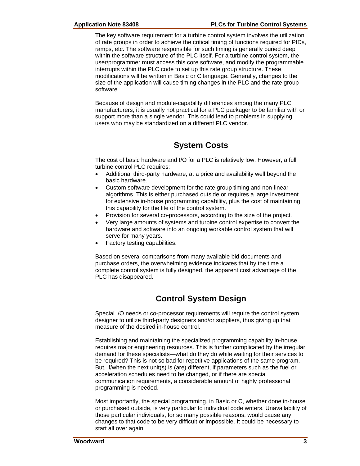The key software requirement for a turbine control system involves the utilization of rate groups in order to achieve the critical timing of functions required for PIDs, ramps, etc. The software responsible for such timing is generally buried deep within the software structure of the PLC itself. For a turbine control system, the user/programmer must access this core software, and modify the programmable interrupts within the PLC code to set up this rate group structure. These modifications will be written in Basic or C language. Generally, changes to the size of the application will cause timing changes in the PLC and the rate group software.

Because of design and module-capability differences among the many PLC manufacturers, it is usually not practical for a PLC packager to be familiar with or support more than a single vendor. This could lead to problems in supplying users who may be standardized on a different PLC vendor.

# **System Costs**

The cost of basic hardware and I/O for a PLC is relatively low. However, a full turbine control PLC requires:

- Additional third-party hardware, at a price and availability well beyond the basic hardware.
- Custom software development for the rate group timing and non-linear algorithms. This is either purchased outside or requires a large investment for extensive in-house programming capability, plus the cost of maintaining this capability for the life of the control system.
- Provision for several co-processors, according to the size of the project.
- Very large amounts of systems and turbine control expertise to convert the hardware and software into an ongoing workable control system that will serve for many years.
- Factory testing capabilities.

Based on several comparisons from many available bid documents and purchase orders, the overwhelming evidence indicates that by the time a complete control system is fully designed, the apparent cost advantage of the PLC has disappeared.

# **Control System Design**

Special I/O needs or co-processor requirements will require the control system designer to utilize third-party designers and/or suppliers, thus giving up that measure of the desired in-house control.

Establishing and maintaining the specialized programming capability in-house requires major engineering resources. This is further complicated by the irregular demand for these specialists—what do they do while waiting for their services to be required? This is not so bad for repetitive applications of the same program. But, if/when the next unit(s) is (are) different, if parameters such as the fuel or acceleration schedules need to be changed, or if there are special communication requirements, a considerable amount of highly professional programming is needed.

Most importantly, the special programming, in Basic or C, whether done in-house or purchased outside, is very particular to individual code writers. Unavailability of those particular individuals, for so many possible reasons, would cause any changes to that code to be very difficult or impossible. It could be necessary to start all over again.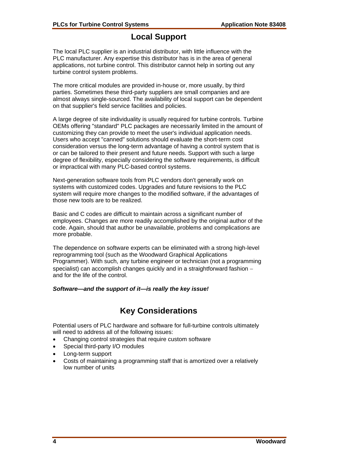#### **Local Support**

The local PLC supplier is an industrial distributor, with little influence with the PLC manufacturer. Any expertise this distributor has is in the area of general applications, not turbine control. This distributor cannot help in sorting out any turbine control system problems.

The more critical modules are provided in-house or, more usually, by third parties. Sometimes these third-party suppliers are small companies and are almost always single-sourced. The availability of local support can be dependent on that supplier's field service facilities and policies.

A large degree of site individuality is usually required for turbine controls. Turbine OEMs offering "standard" PLC packages are necessarily limited in the amount of customizing they can provide to meet the user's individual application needs. Users who accept "canned" solutions should evaluate the short-term cost consideration versus the long-term advantage of having a control system that is or can be tailored to their present and future needs. Support with such a large degree of flexibility, especially considering the software requirements, is difficult or impractical with many PLC-based control systems.

Next-generation software tools from PLC vendors don't generally work on systems with customized codes. Upgrades and future revisions to the PLC system will require more changes to the modified software, if the advantages of those new tools are to be realized.

Basic and C codes are difficult to maintain across a significant number of employees. Changes are more readily accomplished by the original author of the code. Again, should that author be unavailable, problems and complications are more probable.

The dependence on software experts can be eliminated with a strong high-level reprogramming tool (such as the Woodward Graphical Applications Programmer). With such, any turbine engineer or technician (not a programming specialist) can accomplish changes quickly and in a straightforward fashion − and for the life of the control.

#### *Software—and the support of it—is really the key issue!*

# **Key Considerations**

Potential users of PLC hardware and software for full-turbine controls ultimately will need to address all of the following issues:

- Changing control strategies that require custom software
- Special third-party I/O modules
- Long-term support
- Costs of maintaining a programming staff that is amortized over a relatively low number of units